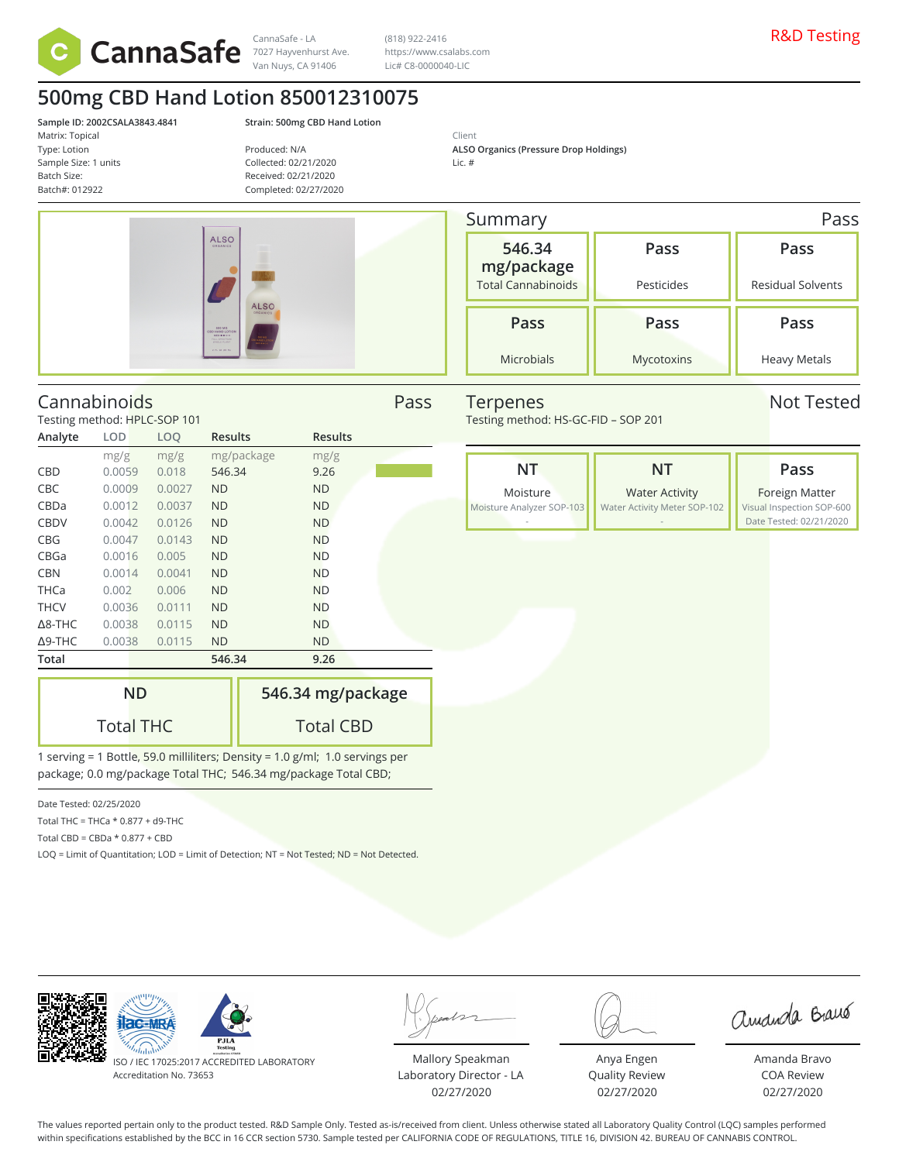

7027 Hayvenhurst Ave. Van Nuys, CA 91406

CannaSafe - LA  $(818)$  922-2416  $(318)$  922-2416 (818) 922-2416 https://www.csalabs.com Lic# C8-0000040-LIC

# **500mg CBD Hand Lotion 850012310075**

**Sample ID: 2002CSALA3843.4841 Strain: 500mg CBD Hand Lotion** Matrix: Topical Type: Lotion Sample Size: 1 units Batch Size: Batch#: 012922

Produced: N/A Collected: 02/21/2020 Received: 02/21/2020 Completed: 02/27/2020

Client **ALSO Organics (Pressure Drop Holdings)** Lic. #

| <b>ALSO</b><br>ORGANICS                                                                                  |                             |
|----------------------------------------------------------------------------------------------------------|-----------------------------|
|                                                                                                          | <b>ALSO</b><br>ORGANICS     |
| 500 MG<br><b>CBD HAND LOTION</b><br>$MID = 00$<br>FULL SPECTRUM<br><b>STACLE PLANT</b><br>2. PL-02-09-RJ | DIS DIS MO<br>$1853 + 0.10$ |

Summary Pass **546.34 mg/package** Total Cannabinoids **Pass** Pesticides **Pass** Residual Solvents **Pass** Microbials **Pass** Mycotoxins **Pass** Heavy Metals

Testing method: HS-GC-FID – SOP 201



Terpenes Not Tested

# Cannabinoids Pass

Testing method: HPLC-SOP 101

| Analyte           | LOD    | LOQ    | <b>Results</b> | <b>Results</b> |
|-------------------|--------|--------|----------------|----------------|
|                   | mg/g   | mg/g   | mg/package     | mg/g           |
| CBD               | 0.0059 | 0.018  | 546.34         | 9.26           |
| <b>CBC</b>        | 0.0009 | 0.0027 | <b>ND</b>      | <b>ND</b>      |
| CBDa              | 0.0012 | 0.0037 | <b>ND</b>      | <b>ND</b>      |
| <b>CBDV</b>       | 0.0042 | 0.0126 | <b>ND</b>      | <b>ND</b>      |
| <b>CBG</b>        | 0.0047 | 0.0143 | <b>ND</b>      | <b>ND</b>      |
| CBGa              | 0.0016 | 0.005  | <b>ND</b>      | <b>ND</b>      |
| <b>CBN</b>        | 0.0014 | 0.0041 | <b>ND</b>      | <b>ND</b>      |
| <b>THCa</b>       | 0.002  | 0.006  | <b>ND</b>      | <b>ND</b>      |
| <b>THCV</b>       | 0.0036 | 0.0111 | <b>ND</b>      | <b>ND</b>      |
| $\triangle$ 8-THC | 0.0038 | 0.0115 | <b>ND</b>      | <b>ND</b>      |
| $\Delta$ 9-THC    | 0.0038 | 0.0115 | <b>ND</b>      | <b>ND</b>      |
| Total             |        |        | 546.34         | 9.26           |

| <b>ND</b>        | 546.34 mg/package |
|------------------|-------------------|
| <b>Total THC</b> | <b>Total CBD</b>  |

1 serving = 1 Bottle, 59.0 milliliters; Density = 1.0 g/ml; 1.0 servings per package; 0.0 mg/package Total THC; 546.34 mg/package Total CBD;

Date Tested: 02/25/2020

- Total THC = THCa \* 0.877 + d9-THC
- Total CBD =  $CBDa * 0.877 + CBD$

LOQ = Limit of Quantitation; LOD = Limit of Detection; NT = Not Tested; ND = Not Detected.

ISO / IEC 17025:2017 ACCREDITED LABORATORY

Accreditation No. 73653

 $AC-MF$ 

Mallory Speakman Laboratory Director - LA 02/27/2020

Anya Engen Quality Review 02/27/2020

amanda Braus

Amanda Bravo COA Review 02/27/2020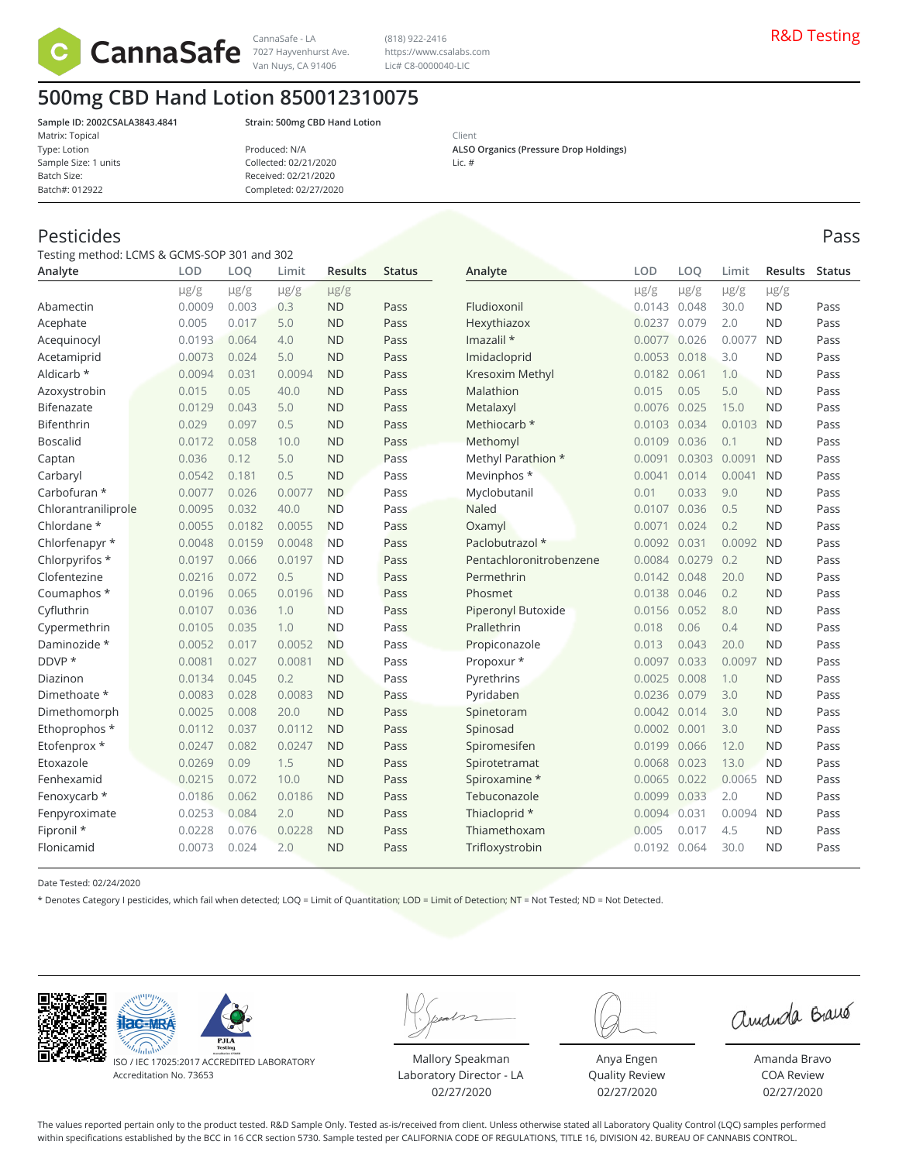

Van Nuys, CA 91406

(818) 922-2416 https://www.csalabs.com Lic# C8-0000040-LIC

**500mg CBD Hand Lotion 850012310075**

Matrix: Topical Type: Lotion Sample Size: 1 units Batch Size: Batch#: 012922

**Sample ID: 2002CSALA3843.4841 Strain: 500mg CBD Hand Lotion**

| Produced: N/A         |  |
|-----------------------|--|
| Collected: 02/21/2020 |  |
| Received: 02/21/2020  |  |
| Completed: 02/27/2020 |  |
|                       |  |

Client **ALSO Organics (Pressure Drop Holdings)** Lic. #

# Pesticides Pass

Testing method: LCMS & GCMS-SOP 301 and 302

| Analyte             | <b>LOD</b> | LOQ       | Limit     | <b>Results</b> | <b>Status</b> | Analyte                   | <b>LOD</b>   | LOO       | Limit     | <b>Results</b> | Status |
|---------------------|------------|-----------|-----------|----------------|---------------|---------------------------|--------------|-----------|-----------|----------------|--------|
|                     | $\mu$ g/g  | $\mu$ g/g | $\mu$ g/g | $\mu$ g/g      |               |                           | $\mu$ g/g    | $\mu$ g/g | $\mu$ g/g | µg/g           |        |
| Abamectin           | 0.0009     | 0.003     | 0.3       | <b>ND</b>      | Pass          | Fludioxonil               | 0.0143 0.048 |           | 30.0      | <b>ND</b>      | Pass   |
| Acephate            | 0.005      | 0.017     | 5.0       | <b>ND</b>      | Pass          | Hexythiazox               | 0.0237       | 0.079     | 2.0       | <b>ND</b>      | Pass   |
| Acequinocyl         | 0.0193     | 0.064     | 4.0       | <b>ND</b>      | Pass          | Imazalil *                | 0.0077       | 0.026     | 0.0077    | <b>ND</b>      | Pass   |
| Acetamiprid         | 0.0073     | 0.024     | 5.0       | <b>ND</b>      | Pass          | Imidacloprid              | 0.0053       | 0.018     | 3.0       | <b>ND</b>      | Pass   |
| Aldicarb *          | 0.0094     | 0.031     | 0.0094    | <b>ND</b>      | Pass          | Kresoxim Methyl           | 0.0182       | 0.061     | 1.0       | <b>ND</b>      | Pass   |
| Azoxystrobin        | 0.015      | 0.05      | 40.0      | <b>ND</b>      | Pass          | Malathion                 | 0.015        | 0.05      | 5.0       | <b>ND</b>      | Pass   |
| Bifenazate          | 0.0129     | 0.043     | 5.0       | <b>ND</b>      | Pass          | Metalaxyl                 | 0.0076       | 0.025     | 15.0      | <b>ND</b>      | Pass   |
| <b>Bifenthrin</b>   | 0.029      | 0.097     | 0.5       | <b>ND</b>      | Pass          | Methiocarb *              | 0.0103       | 0.034     | 0.0103    | <b>ND</b>      | Pass   |
| <b>Boscalid</b>     | 0.0172     | 0.058     | 10.0      | <b>ND</b>      | Pass          | Methomyl                  | 0.0109       | 0.036     | 0.1       | <b>ND</b>      | Pass   |
| Captan              | 0.036      | 0.12      | 5.0       | <b>ND</b>      | Pass          | Methyl Parathion *        | 0.0091       | 0.0303    | 0.0091    | <b>ND</b>      | Pass   |
| Carbaryl            | 0.0542     | 0.181     | 0.5       | <b>ND</b>      | Pass          | Mevinphos *               | 0.0041       | 0.014     | 0.0041    | <b>ND</b>      | Pass   |
| Carbofuran *        | 0.0077     | 0.026     | 0.0077    | <b>ND</b>      | Pass          | Myclobutanil              | 0.01         | 0.033     | 9.0       | <b>ND</b>      | Pass   |
| Chlorantraniliprole | 0.0095     | 0.032     | 40.0      | <b>ND</b>      | Pass          | Naled                     | 0.0107       | 0.036     | 0.5       | <b>ND</b>      | Pass   |
| Chlordane *         | 0.0055     | 0.0182    | 0.0055    | <b>ND</b>      | Pass          | Oxamyl                    | 0.0071       | 0.024     | 0.2       | <b>ND</b>      | Pass   |
| Chlorfenapyr *      | 0.0048     | 0.0159    | 0.0048    | <b>ND</b>      | Pass          | Paclobutrazol *           | 0.0092       | 0.031     | 0.0092    | <b>ND</b>      | Pass   |
| Chlorpyrifos *      | 0.0197     | 0.066     | 0.0197    | <b>ND</b>      | Pass          | Pentachloronitrobenzene   | 0.0084       | 0.0279    | 0.2       | <b>ND</b>      | Pass   |
| Clofentezine        | 0.0216     | 0.072     | 0.5       | <b>ND</b>      | Pass          | Permethrin                | 0.0142       | 0.048     | 20.0      | <b>ND</b>      | Pass   |
| Coumaphos *         | 0.0196     | 0.065     | 0.0196    | <b>ND</b>      | Pass          | Phosmet                   | 0.0138       | 0.046     | 0.2       | <b>ND</b>      | Pass   |
| Cyfluthrin          | 0.0107     | 0.036     | 1.0       | <b>ND</b>      | Pass          | <b>Piperonyl Butoxide</b> | 0.0156 0.052 |           | 8.0       | <b>ND</b>      | Pass   |
| Cypermethrin        | 0.0105     | 0.035     | 1.0       | <b>ND</b>      | Pass          | Prallethrin               | 0.018        | 0.06      | 0.4       | <b>ND</b>      | Pass   |
| Daminozide *        | 0.0052     | 0.017     | 0.0052    | <b>ND</b>      | Pass          | Propiconazole             | 0.013        | 0.043     | 20.0      | <b>ND</b>      | Pass   |
| DDVP *              | 0.0081     | 0.027     | 0.0081    | <b>ND</b>      | Pass          | Propoxur *                | 0.0097       | 0.033     | 0.0097    | <b>ND</b>      | Pass   |
| Diazinon            | 0.0134     | 0.045     | 0.2       | <b>ND</b>      | Pass          | Pyrethrins                | 0.0025       | 0.008     | 1.0       | <b>ND</b>      | Pass   |
| Dimethoate *        | 0.0083     | 0.028     | 0.0083    | <b>ND</b>      | Pass          | Pyridaben                 | 0.0236       | 0.079     | 3.0       | <b>ND</b>      | Pass   |
| Dimethomorph        | 0.0025     | 0.008     | 20.0      | <b>ND</b>      | Pass          | Spinetoram                | 0.0042       | 0.014     | 3.0       | <b>ND</b>      | Pass   |
| Ethoprophos *       | 0.0112     | 0.037     | 0.0112    | <b>ND</b>      | Pass          | Spinosad                  | 0.0002       | 0.001     | 3.0       | <b>ND</b>      | Pass   |
| Etofenprox *        | 0.0247     | 0.082     | 0.0247    | <b>ND</b>      | Pass          | Spiromesifen              | 0.0199       | 0.066     | 12.0      | <b>ND</b>      | Pass   |
| Etoxazole           | 0.0269     | 0.09      | 1.5       | <b>ND</b>      | Pass          | Spirotetramat             | 0.0068       | 0.023     | 13.0      | <b>ND</b>      | Pass   |
| Fenhexamid          | 0.0215     | 0.072     | 10.0      | <b>ND</b>      | Pass          | Spiroxamine *             | 0.0065       | 0.022     | 0.0065    | <b>ND</b>      | Pass   |
| Fenoxycarb *        | 0.0186     | 0.062     | 0.0186    | <b>ND</b>      | Pass          | Tebuconazole              | 0.0099       | 0.033     | 2.0       | <b>ND</b>      | Pass   |
| Fenpyroximate       | 0.0253     | 0.084     | 2.0       | <b>ND</b>      | Pass          | Thiacloprid *             | 0.0094       | 0.031     | 0.0094    | <b>ND</b>      | Pass   |
| Fipronil *          | 0.0228     | 0.076     | 0.0228    | <b>ND</b>      | Pass          | Thiamethoxam              | 0.005        | 0.017     | 4.5       | <b>ND</b>      | Pass   |
| Flonicamid          | 0.0073     | 0.024     | 2.0       | <b>ND</b>      | Pass          | Trifloxystrobin           | 0.0192       | 0.064     | 30.0      | <b>ND</b>      | Pass   |

Date Tested: 02/24/2020

\* Denotes Category I pesticides, which fail when detected; LOQ = Limit of Quantitation; LOD = Limit of Detection; NT = Not Tested; ND = Not Detected.





ISO / IEC 17025:2017 ACCREDITED LABORATORY Accreditation No. 73653

Mallory Speakman Laboratory Director - LA 02/27/2020

Anya Engen Quality Review 02/27/2020

amanda Braus

Amanda Bravo COA Review 02/27/2020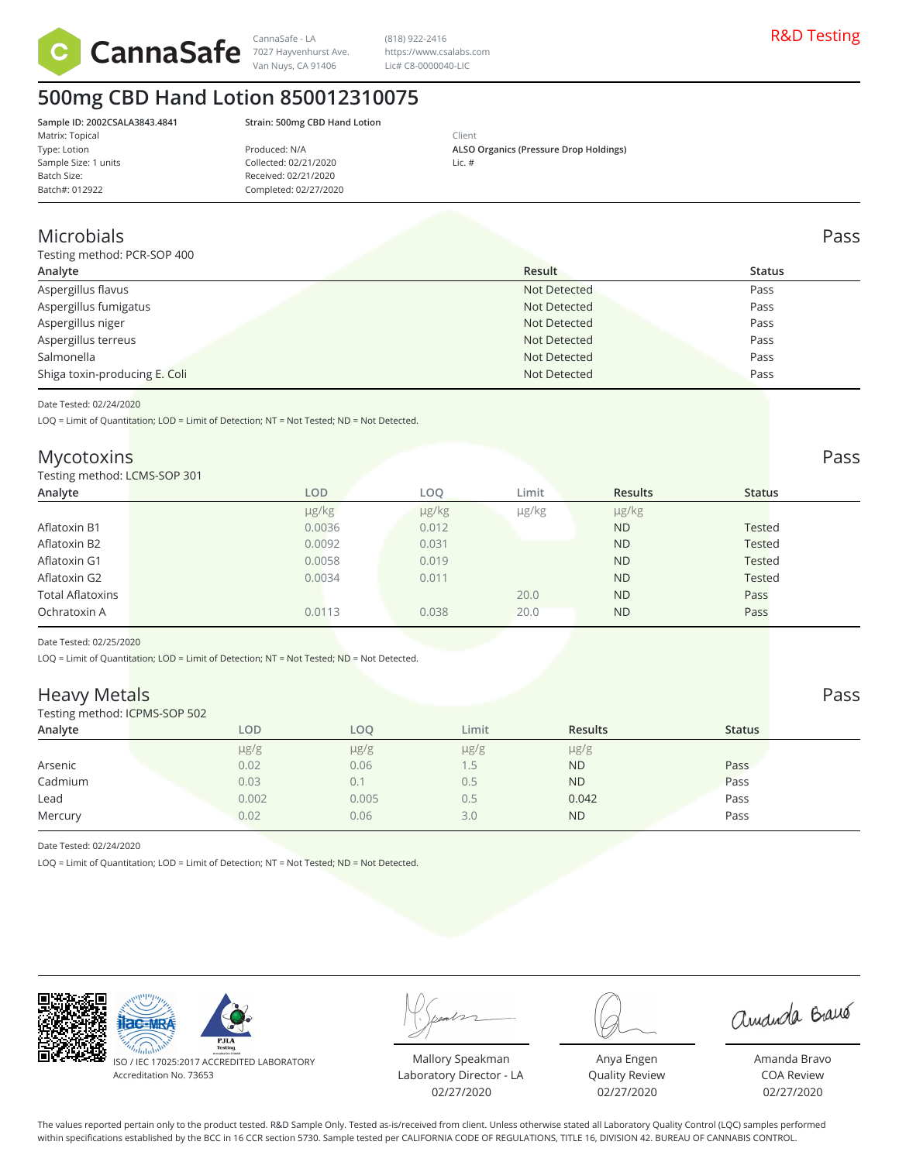

Van Nuys, CA 91406

(818) 922-2416 https://www.csalabs.com Lic# C8-0000040-LIC

# **500mg CBD Hand Lotion 850012310075**

Matrix: Topical Type: Lotion Sample Size: 1 units Batch Size: Batch#: 012922

**Sample ID: 2002CSALA3843.4841 Strain: 500mg CBD Hand Lotion**

| Produced: N/A         |  |
|-----------------------|--|
| Collected: 02/21/2020 |  |
| Received: 02/21/2020  |  |
| Completed: 02/27/2020 |  |
|                       |  |

Client **ALSO Organics (Pressure Drop Holdings)** Lic. #

# Microbials Pass

Testing method: PCR-SOP 400

| Testing method: PCR-SOP 400   |              |               |  |  |  |  |  |
|-------------------------------|--------------|---------------|--|--|--|--|--|
| Analyte                       | Result       | <b>Status</b> |  |  |  |  |  |
| Aspergillus flavus            | Not Detected | Pass          |  |  |  |  |  |
| Aspergillus fumigatus         | Not Detected | Pass          |  |  |  |  |  |
| Aspergillus niger             | Not Detected | Pass          |  |  |  |  |  |
| Aspergillus terreus           | Not Detected | Pass          |  |  |  |  |  |
| Salmonella                    | Not Detected | Pass          |  |  |  |  |  |
| Shiga toxin-producing E. Coli | Not Detected | Pass          |  |  |  |  |  |
|                               |              |               |  |  |  |  |  |

Date Tested: 02/24/2020

LOQ = Limit of Quantitation; LOD = Limit of Detection; NT = Not Tested; ND = Not Detected.

## Mycotoxins Pass

### Testing method: LCMS-SOP 301

| Testing method: LCMS-SOP 301 |        |            |       |                |               |  |
|------------------------------|--------|------------|-------|----------------|---------------|--|
| Analyte                      | LOD    | LOQ.       | Limit | <b>Results</b> | <b>Status</b> |  |
|                              | µg/kg  | $\mu$ g/kg | µg/kg | µg/kg          |               |  |
| Aflatoxin B1                 | 0.0036 | 0.012      |       | <b>ND</b>      | Tested        |  |
| Aflatoxin B2                 | 0.0092 | 0.031      |       | <b>ND</b>      | Tested        |  |
| Aflatoxin G1                 | 0.0058 | 0.019      |       | <b>ND</b>      | <b>Tested</b> |  |
| Aflatoxin G2                 | 0.0034 | 0.011      |       | <b>ND</b>      | <b>Tested</b> |  |
| <b>Total Aflatoxins</b>      |        |            | 20.0  | <b>ND</b>      | Pass          |  |
| Ochratoxin A                 | 0.0113 | 0.038      | 20.0  | <b>ND</b>      | Pass          |  |
|                              |        |            |       |                |               |  |

Date Tested: 02/25/2020

LOQ = Limit of Quantitation; LOD = Limit of Detection; NT = Not Tested; ND = Not Detected.

# **Heavy Metals** Pass Passet in the contract of the contract of the contract of the contract of the contract of the contract of the contract of the contract of the contract of the contract of the contract of the contract of

Testing method: ICPMS-SOP 502

| <b>I COULT INCLUDED</b> IN THE INTERNATIONAL |           |           |           |                |               |  |  |  |  |
|----------------------------------------------|-----------|-----------|-----------|----------------|---------------|--|--|--|--|
| Analyte                                      | LOD       | LOO       | Limit     | <b>Results</b> | <b>Status</b> |  |  |  |  |
|                                              | $\mu$ g/g | $\mu$ g/g | $\mu$ g/g | $\mu$ g/g      |               |  |  |  |  |
| Arsenic                                      | 0.02      | 0.06      |           | <b>ND</b>      | Pass          |  |  |  |  |
| Cadmium                                      | 0.03      |           | 0.5       | <b>ND</b>      | Pass          |  |  |  |  |
| Lead                                         | 0.002     | 0.005     | 0.5       | 0.042          | Pass          |  |  |  |  |
| Mercury                                      | 0.02      | 0.06      | 3.0       | <b>ND</b>      | Pass          |  |  |  |  |
|                                              |           |           |           |                |               |  |  |  |  |

Date Tested: 02/24/2020

LOQ = Limit of Quantitation; LOD = Limit of Detection; NT = Not Tested; ND = Not Detected.



ISO / IEC 17025:2017 ACCREDITED LABORATORY Accreditation No. 73653

Mallory Speakman Laboratory Director - LA 02/27/2020

Anya Engen Quality Review 02/27/2020

amanda Braus

Amanda Bravo COA Review 02/27/2020